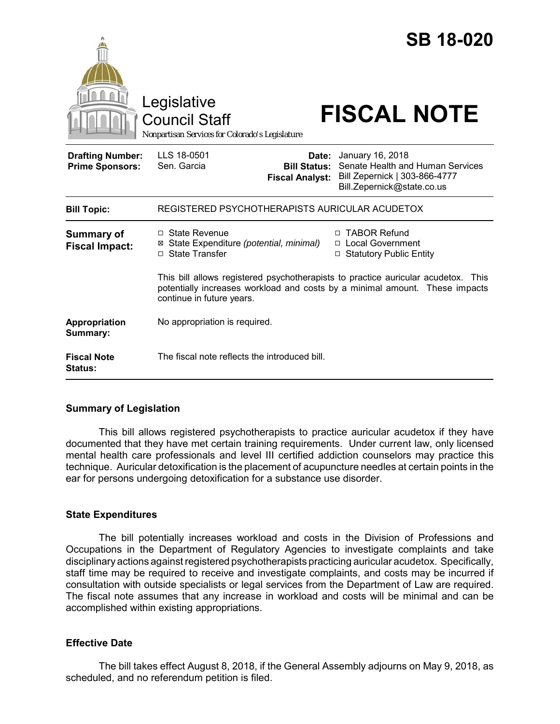|                                                   | Legislative<br><b>Council Staff</b><br>Nonpartisan Services for Colorado's Legislature                                                                                                                  | <b>SB 18-020</b><br><b>FISCAL NOTE</b>                                                                              |
|---------------------------------------------------|---------------------------------------------------------------------------------------------------------------------------------------------------------------------------------------------------------|---------------------------------------------------------------------------------------------------------------------|
| <b>Drafting Number:</b><br><b>Prime Sponsors:</b> | LLS 18-0501<br>Date:<br>Sen. Garcia<br><b>Bill Status:</b><br><b>Fiscal Analyst:</b>                                                                                                                    | January 16, 2018<br>Senate Health and Human Services<br>Bill Zepernick   303-866-4777<br>Bill.Zepernick@state.co.us |
| <b>Bill Topic:</b>                                | REGISTERED PSYCHOTHERAPISTS AURICULAR ACUDETOX                                                                                                                                                          |                                                                                                                     |
| <b>Summary of</b><br><b>Fiscal Impact:</b>        | □ State Revenue<br>⊠ State Expenditure (potential, minimal)<br>□ State Transfer                                                                                                                         | <b>TABOR Refund</b><br>п<br>□ Local Government<br>□ Statutory Public Entity                                         |
|                                                   | This bill allows registered psychotherapists to practice auricular acudetox.<br><b>This</b><br>potentially increases workload and costs by a minimal amount. These impacts<br>continue in future years. |                                                                                                                     |
| Appropriation<br>Summary:                         | No appropriation is required.                                                                                                                                                                           |                                                                                                                     |
| <b>Fiscal Note</b><br>Status:                     | The fiscal note reflects the introduced bill.                                                                                                                                                           |                                                                                                                     |

## **Summary of Legislation**

This bill allows registered psychotherapists to practice auricular acudetox if they have documented that they have met certain training requirements. Under current law, only licensed mental health care professionals and level III certified addiction counselors may practice this technique. Auricular detoxification is the placement of acupuncture needles at certain points in the ear for persons undergoing detoxification for a substance use disorder.

## **State Expenditures**

The bill potentially increases workload and costs in the Division of Professions and Occupations in the Department of Regulatory Agencies to investigate complaints and take disciplinary actions against registered psychotherapists practicing auricular acudetox. Specifically, staff time may be required to receive and investigate complaints, and costs may be incurred if consultation with outside specialists or legal services from the Department of Law are required. The fiscal note assumes that any increase in workload and costs will be minimal and can be accomplished within existing appropriations.

## **Effective Date**

The bill takes effect August 8, 2018, if the General Assembly adjourns on May 9, 2018, as scheduled, and no referendum petition is filed.